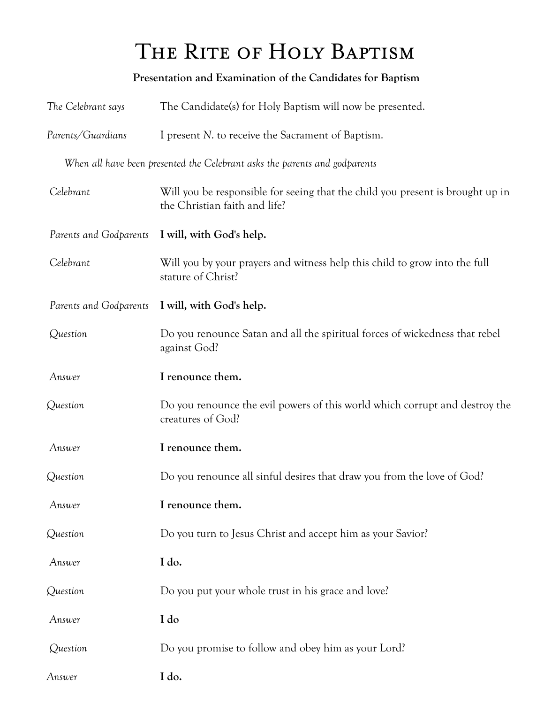## THE RITE OF HOLY BAPTISM

## **Presentation and Examination of the Candidates for Baptism**

| The Celebrant says     | The Candidate(s) for Holy Baptism will now be presented.                                                        |
|------------------------|-----------------------------------------------------------------------------------------------------------------|
| Parents/Guardians      | I present N. to receive the Sacrament of Baptism.                                                               |
|                        | When all have been presented the Celebrant asks the parents and godparents                                      |
| Celebrant              | Will you be responsible for seeing that the child you present is brought up in<br>the Christian faith and life? |
| Parents and Godparents | I will, with God's help.                                                                                        |
| Celebrant              | Will you by your prayers and witness help this child to grow into the full<br>stature of Christ?                |
| Parents and Godparents | I will, with God's help.                                                                                        |
| Question               | Do you renounce Satan and all the spiritual forces of wickedness that rebel<br>against God?                     |
| Answer                 | I renounce them.                                                                                                |
| Question               | Do you renounce the evil powers of this world which corrupt and destroy the<br>creatures of God?                |
| Answer                 | I renounce them.                                                                                                |
| Question               | Do you renounce all sinful desires that draw you from the love of God?                                          |
| Answer                 | I renounce them.                                                                                                |
| Question               | Do you turn to Jesus Christ and accept him as your Savior?                                                      |
| Answer                 | I do.                                                                                                           |
| Question               | Do you put your whole trust in his grace and love?                                                              |
| Answer                 | I do                                                                                                            |
| Question               | Do you promise to follow and obey him as your Lord?                                                             |
| Answer                 | I do.                                                                                                           |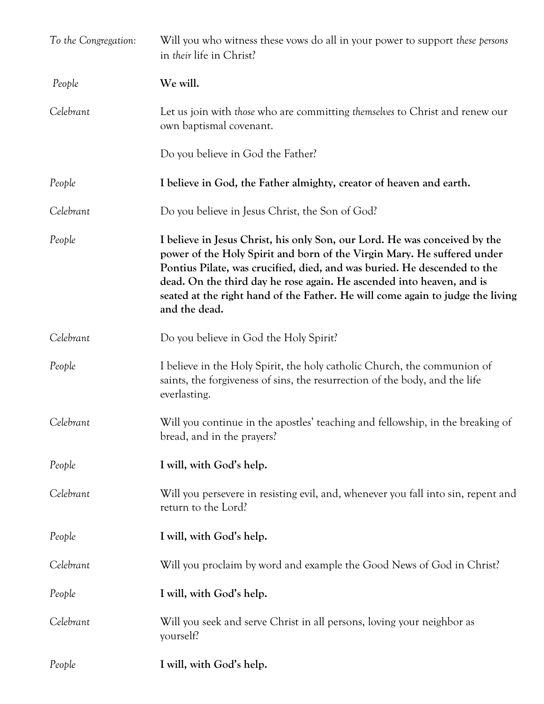| To the Congregation: | Will you who witness these vows do all in your power to support these persons<br>in their life in Christ?                                                                                                                                                                                                                                                                                                     |
|----------------------|---------------------------------------------------------------------------------------------------------------------------------------------------------------------------------------------------------------------------------------------------------------------------------------------------------------------------------------------------------------------------------------------------------------|
| People               | We will.                                                                                                                                                                                                                                                                                                                                                                                                      |
| Celebrant            | Let us join with those who are committing themselves to Christ and renew our<br>own baptismal covenant.                                                                                                                                                                                                                                                                                                       |
|                      | Do you believe in God the Father?                                                                                                                                                                                                                                                                                                                                                                             |
| People               | I believe in God, the Father almighty, creator of heaven and earth.                                                                                                                                                                                                                                                                                                                                           |
| Celebrant            | Do you believe in Jesus Christ, the Son of God?                                                                                                                                                                                                                                                                                                                                                               |
| People               | I believe in Jesus Christ, his only Son, our Lord. He was conceived by the<br>power of the Holy Spirit and born of the Virgin Mary. He suffered under<br>Pontius Pilate, was crucified, died, and was buried. He descended to the<br>dead. On the third day he rose again. He ascended into heaven, and is<br>seated at the right hand of the Father. He will come again to judge the living<br>and the dead. |
| Celebrant            | Do you believe in God the Holy Spirit?                                                                                                                                                                                                                                                                                                                                                                        |
| People               | I believe in the Holy Spirit, the holy catholic Church, the communion of<br>saints, the forgiveness of sins, the resurrection of the body, and the life<br>everlasting.                                                                                                                                                                                                                                       |
| Celebrant            | Will you continue in the apostles' teaching and fellowship, in the breaking of<br>bread, and in the prayers?                                                                                                                                                                                                                                                                                                  |
| People               | I will, with God's help.                                                                                                                                                                                                                                                                                                                                                                                      |
| Celebrant            | Will you persevere in resisting evil, and, whenever you fall into sin, repent and<br>return to the Lord?                                                                                                                                                                                                                                                                                                      |
| People               | I will, with God's help.                                                                                                                                                                                                                                                                                                                                                                                      |
| Celebrant            | Will you proclaim by word and example the Good News of God in Christ?                                                                                                                                                                                                                                                                                                                                         |
| People               | I will, with God's help.                                                                                                                                                                                                                                                                                                                                                                                      |
| Celebrant            | Will you seek and serve Christ in all persons, loving your neighbor as<br>yourself?                                                                                                                                                                                                                                                                                                                           |
| People               | I will, with God's help.                                                                                                                                                                                                                                                                                                                                                                                      |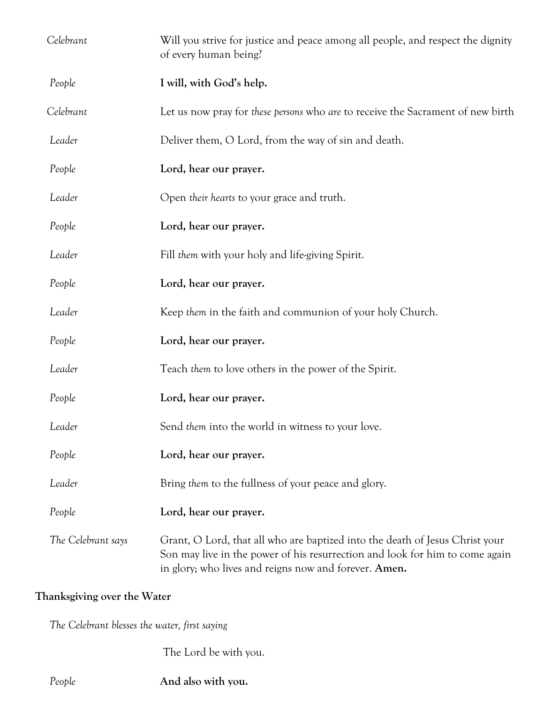| Celebrant          | Will you strive for justice and peace among all people, and respect the dignity<br>of every human being?                                                                                                              |
|--------------------|-----------------------------------------------------------------------------------------------------------------------------------------------------------------------------------------------------------------------|
| People             | I will, with God's help.                                                                                                                                                                                              |
| Celebrant          | Let us now pray for these persons who are to receive the Sacrament of new birth                                                                                                                                       |
| Leader             | Deliver them, O Lord, from the way of sin and death.                                                                                                                                                                  |
| People             | Lord, hear our prayer.                                                                                                                                                                                                |
| Leader             | Open their hearts to your grace and truth.                                                                                                                                                                            |
| People             | Lord, hear our prayer.                                                                                                                                                                                                |
| Leader             | Fill them with your holy and life-giving Spirit.                                                                                                                                                                      |
| People             | Lord, hear our prayer.                                                                                                                                                                                                |
| Leader             | Keep them in the faith and communion of your holy Church.                                                                                                                                                             |
| People             | Lord, hear our prayer.                                                                                                                                                                                                |
| Leader             | Teach them to love others in the power of the Spirit.                                                                                                                                                                 |
| People             | Lord, hear our prayer.                                                                                                                                                                                                |
| Leader             | Send them into the world in witness to your love.                                                                                                                                                                     |
| People             | Lord, hear our prayer.                                                                                                                                                                                                |
| Leader             | Bring them to the fullness of your peace and glory.                                                                                                                                                                   |
| People             | Lord, hear our prayer.                                                                                                                                                                                                |
| The Celebrant says | Grant, O Lord, that all who are baptized into the death of Jesus Christ your<br>Son may live in the power of his resurrection and look for him to come again<br>in glory; who lives and reigns now and forever. Amen. |

## **Thanksgiving over the Water**

 *The Celebrant blesses the water, first saying*

The Lord be with you.

 *People* **And also with you.**